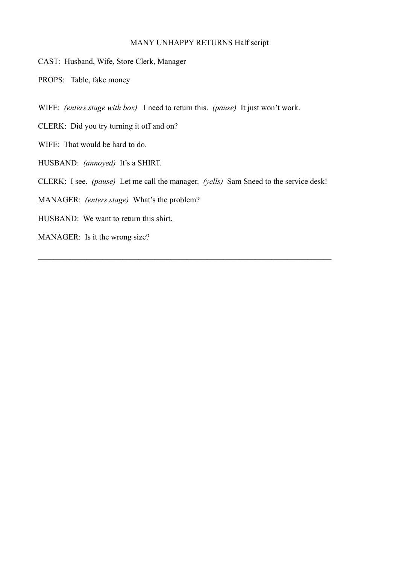### MANY UNHAPPY RETURNS Half script

CAST: Husband, Wife, Store Clerk, Manager

PROPS: Table, fake money

WIFE: *(enters stage with box)* I need to return this. *(pause)* It just won't work.

CLERK: Did you try turning it off and on?

WIFE: That would be hard to do.

HUSBAND: *(annoyed)* It's a SHIRT.

CLERK: I see. *(pause)* Let me call the manager. *(yells)* Sam Sneed to the service desk!

MANAGER: *(enters stage)* What's the problem?

HUSBAND: We want to return this shirt.

MANAGER: Is it the wrong size?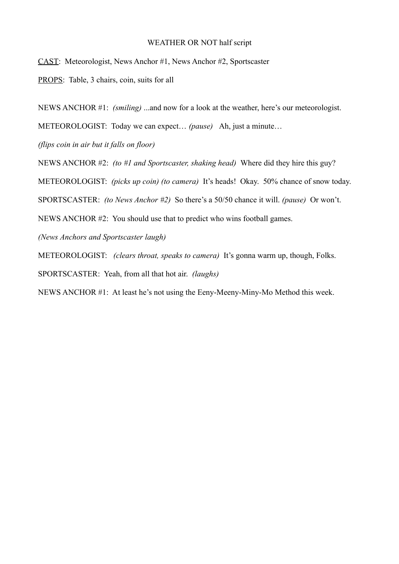#### WEATHER OR NOT half script

CAST: Meteorologist, News Anchor #1, News Anchor #2, Sportscaster

PROPS: Table, 3 chairs, coin, suits for all

NEWS ANCHOR #1: *(smiling)* ...and now for a look at the weather, here's our meteorologist.

METEOROLOGIST: Today we can expect… *(pause)* Ah, just a minute…

*(flips coin in air but it falls on floor)*

NEWS ANCHOR #2: *(to #1 and Sportscaster, shaking head)* Where did they hire this guy?

METEOROLOGIST: *(picks up coin) (to camera)* It's heads! Okay. 50% chance of snow today.

SPORTSCASTER: *(to News Anchor #2)* So there's a 50/50 chance it will. *(pause)* Or won't.

NEWS ANCHOR #2: You should use that to predict who wins football games.

*(News Anchors and Sportscaster laugh)*

METEOROLOGIST: *(clears throat, speaks to camera)* It's gonna warm up, though, Folks.

SPORTSCASTER: Yeah, from all that hot air. *(laughs)*

NEWS ANCHOR #1: At least he's not using the Eeny-Meeny-Miny-Mo Method this week.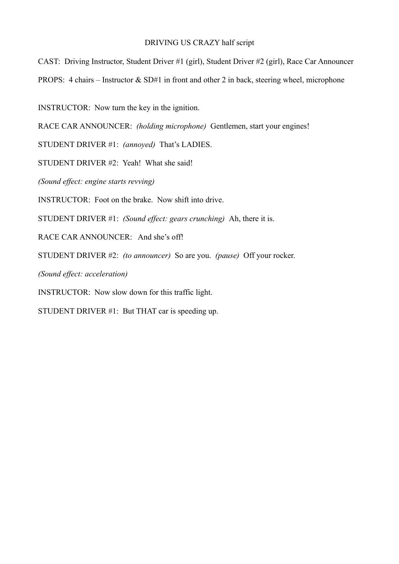# DRIVING US CRAZY half script

CAST: Driving Instructor, Student Driver #1 (girl), Student Driver #2 (girl), Race Car Announcer PROPS: 4 chairs – Instructor  $\&$  SD#1 in front and other 2 in back, steering wheel, microphone

INSTRUCTOR: Now turn the key in the ignition.

RACE CAR ANNOUNCER: *(holding microphone)* Gentlemen, start your engines!

STUDENT DRIVER #1: *(annoyed)* That's LADIES.

STUDENT DRIVER #2: Yeah! What she said!

*(Sound effect: engine starts revving)*

INSTRUCTOR: Foot on the brake. Now shift into drive.

STUDENT DRIVER #1: *(Sound effect: gears crunching)* Ah, there it is.

RACE CAR ANNOUNCER: And she's off!

STUDENT DRIVER #2: *(to announcer)* So are you. *(pause)* Off your rocker.

*(Sound effect: acceleration)*

INSTRUCTOR: Now slow down for this traffic light.

STUDENT DRIVER #1: But THAT car is speeding up.